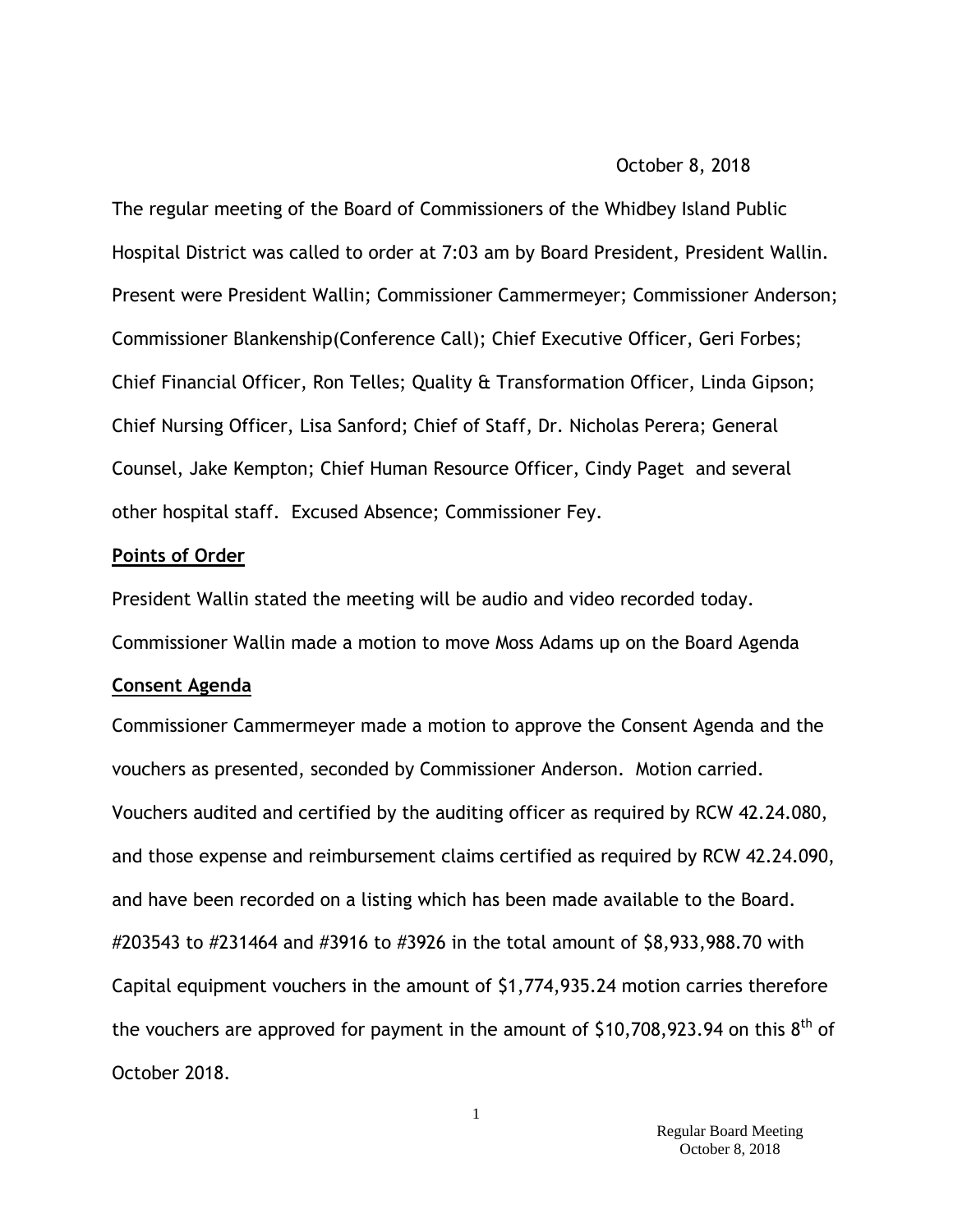#### October 8, 2018

The regular meeting of the Board of Commissioners of the Whidbey Island Public Hospital District was called to order at 7:03 am by Board President, President Wallin. Present were President Wallin; Commissioner Cammermeyer; Commissioner Anderson; Commissioner Blankenship(Conference Call); Chief Executive Officer, Geri Forbes; Chief Financial Officer, Ron Telles; Quality & Transformation Officer, Linda Gipson; Chief Nursing Officer, Lisa Sanford; Chief of Staff, Dr. Nicholas Perera; General Counsel, Jake Kempton; Chief Human Resource Officer, Cindy Paget and several other hospital staff. Excused Absence; Commissioner Fey.

### **Points of Order**

President Wallin stated the meeting will be audio and video recorded today. Commissioner Wallin made a motion to move Moss Adams up on the Board Agenda

#### **Consent Agenda**

Commissioner Cammermeyer made a motion to approve the Consent Agenda and the vouchers as presented, seconded by Commissioner Anderson. Motion carried. Vouchers audited and certified by the auditing officer as required by RCW 42.24.080, and those expense and reimbursement claims certified as required by RCW 42.24.090, and have been recorded on a listing which has been made available to the Board. #203543 to #231464 and #3916 to #3926 in the total amount of \$8,933,988.70 with Capital equipment vouchers in the amount of \$1,774,935.24 motion carries therefore the vouchers are approved for payment in the amount of \$10,708,923.94 on this  $8^{\text{th}}$  of October 2018.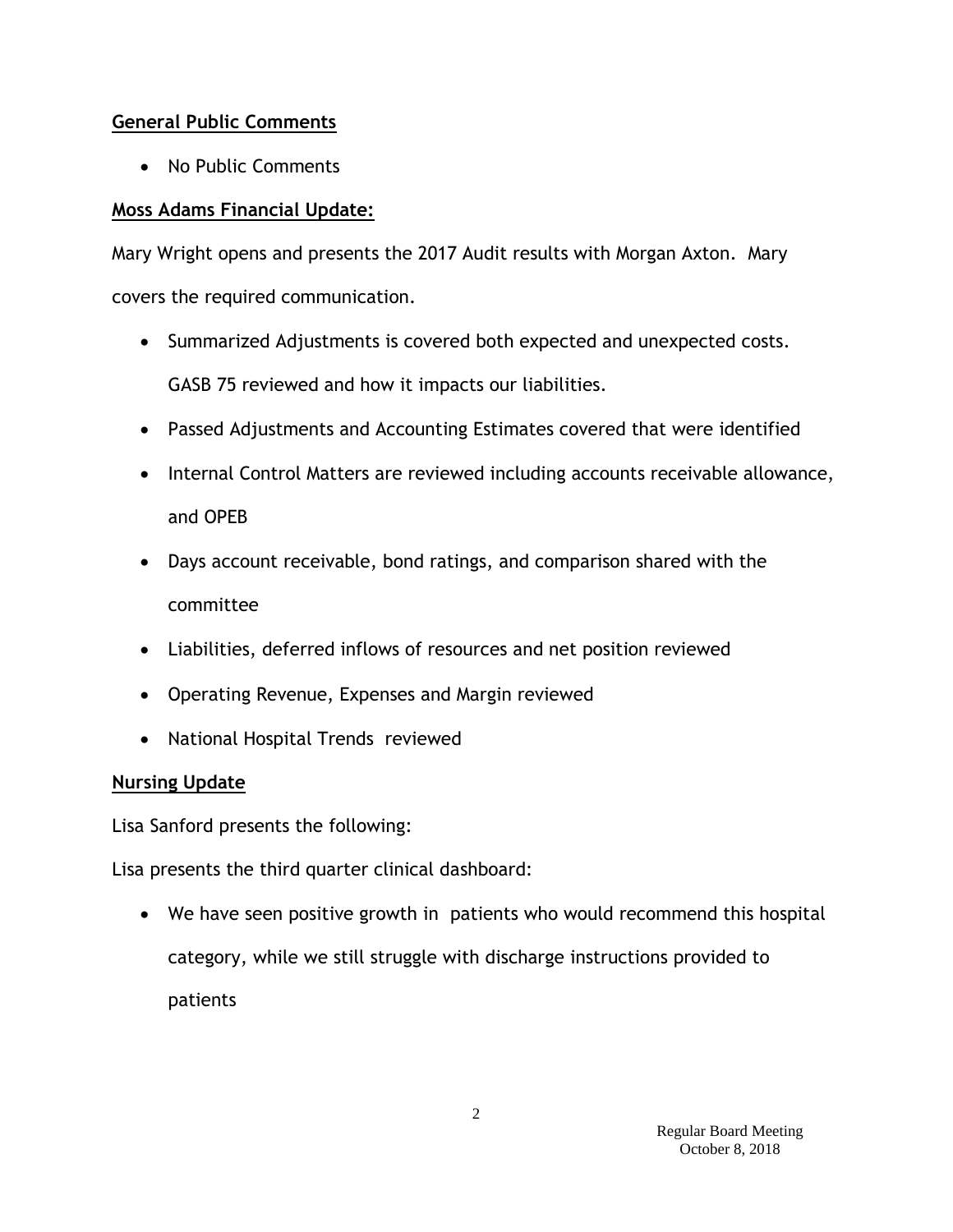## **General Public Comments**

• No Public Comments

# **Moss Adams Financial Update:**

Mary Wright opens and presents the 2017 Audit results with Morgan Axton. Mary covers the required communication.

- Summarized Adjustments is covered both expected and unexpected costs. GASB 75 reviewed and how it impacts our liabilities.
- Passed Adjustments and Accounting Estimates covered that were identified
- Internal Control Matters are reviewed including accounts receivable allowance, and OPEB
- Days account receivable, bond ratings, and comparison shared with the committee
- Liabilities, deferred inflows of resources and net position reviewed
- Operating Revenue, Expenses and Margin reviewed
- National Hospital Trends reviewed

# **Nursing Update**

Lisa Sanford presents the following:

Lisa presents the third quarter clinical dashboard:

 We have seen positive growth in patients who would recommend this hospital category, while we still struggle with discharge instructions provided to patients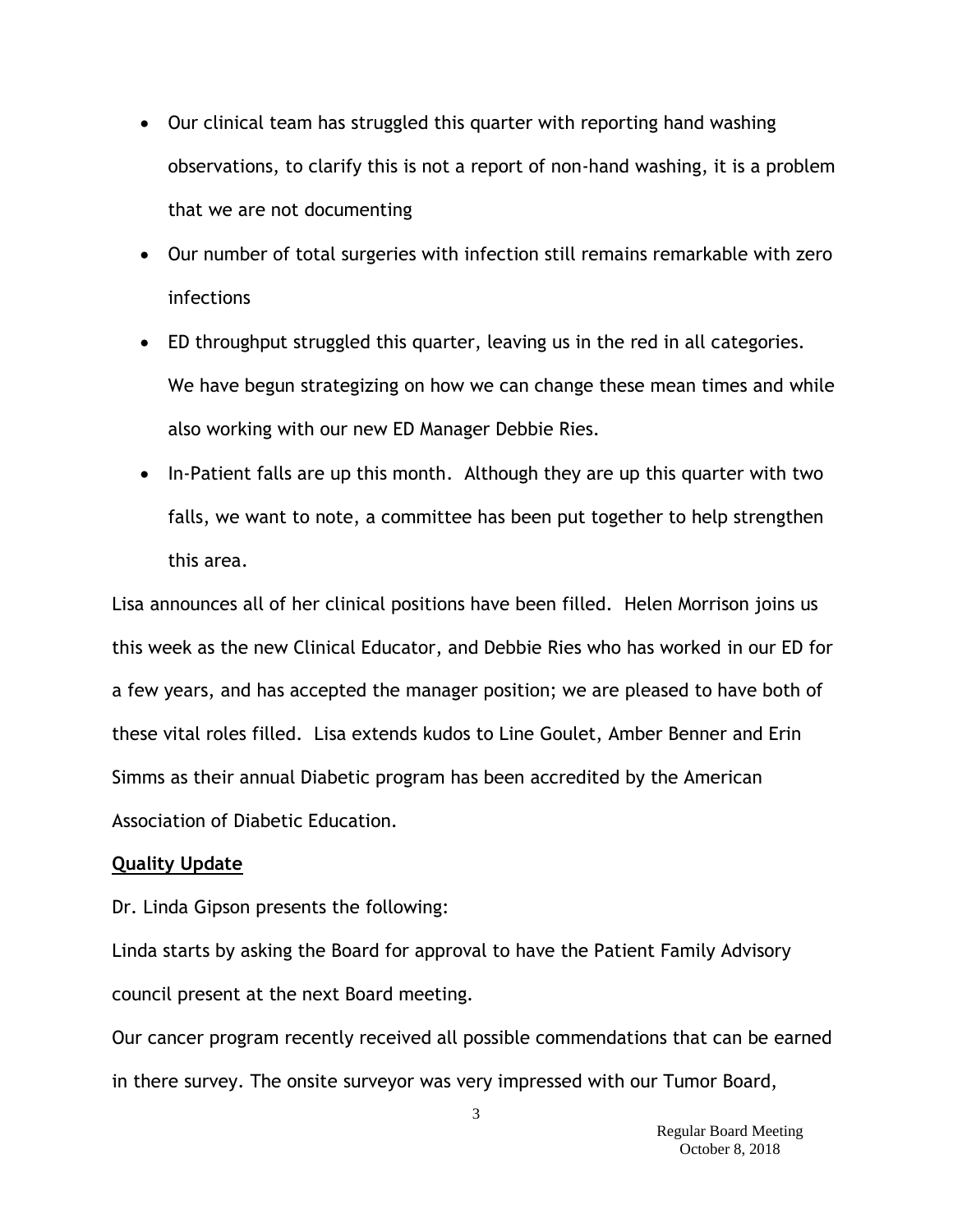- Our clinical team has struggled this quarter with reporting hand washing observations, to clarify this is not a report of non-hand washing, it is a problem that we are not documenting
- Our number of total surgeries with infection still remains remarkable with zero infections
- ED throughput struggled this quarter, leaving us in the red in all categories. We have begun strategizing on how we can change these mean times and while also working with our new ED Manager Debbie Ries.
- In-Patient falls are up this month. Although they are up this quarter with two falls, we want to note, a committee has been put together to help strengthen this area.

Lisa announces all of her clinical positions have been filled. Helen Morrison joins us this week as the new Clinical Educator, and Debbie Ries who has worked in our ED for a few years, and has accepted the manager position; we are pleased to have both of these vital roles filled. Lisa extends kudos to Line Goulet, Amber Benner and Erin Simms as their annual Diabetic program has been accredited by the American Association of Diabetic Education.

### **Quality Update**

Dr. Linda Gipson presents the following:

Linda starts by asking the Board for approval to have the Patient Family Advisory council present at the next Board meeting.

Our cancer program recently received all possible commendations that can be earned in there survey. The onsite surveyor was very impressed with our Tumor Board,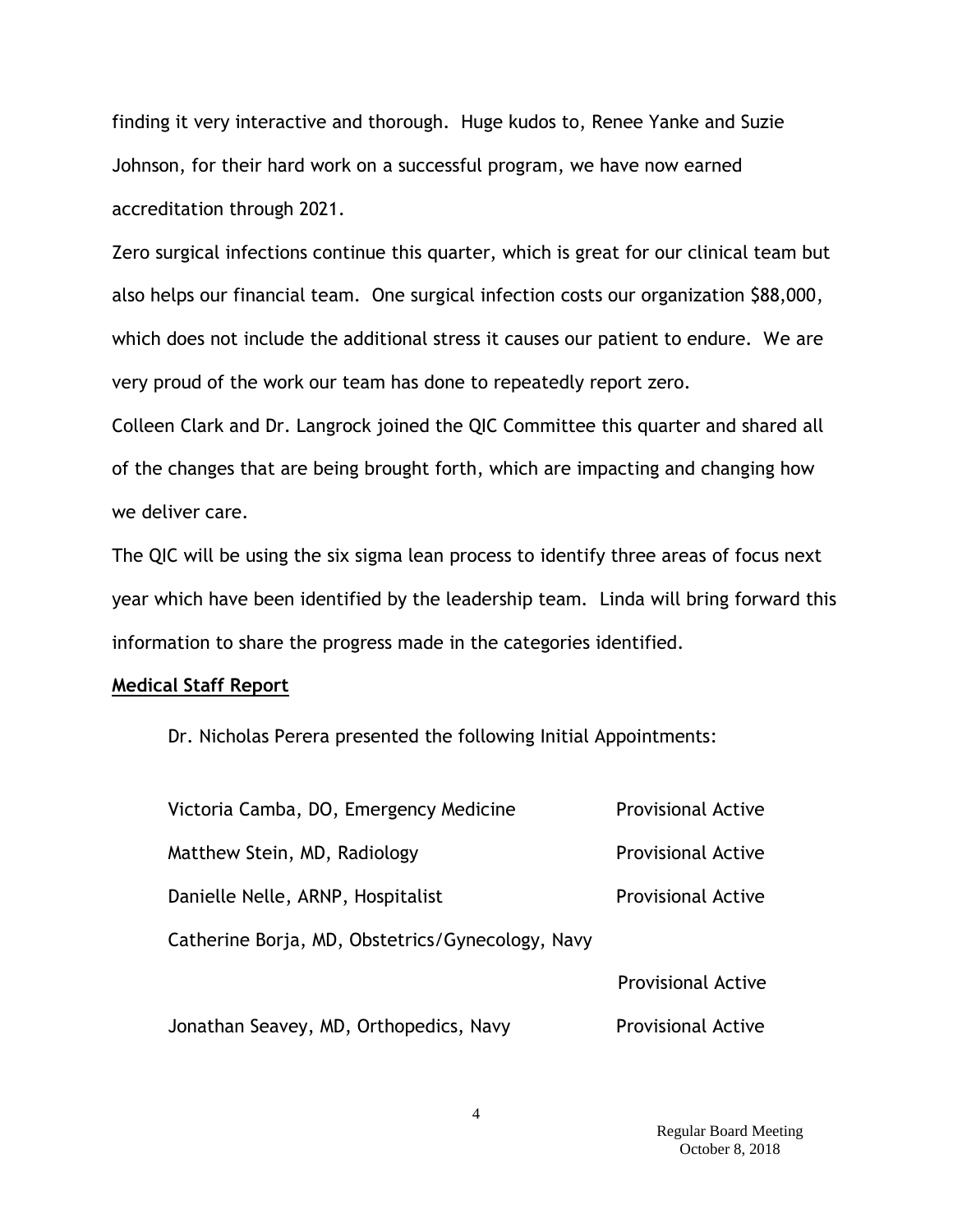finding it very interactive and thorough. Huge kudos to, Renee Yanke and Suzie Johnson, for their hard work on a successful program, we have now earned accreditation through 2021.

Zero surgical infections continue this quarter, which is great for our clinical team but also helps our financial team. One surgical infection costs our organization \$88,000, which does not include the additional stress it causes our patient to endure. We are very proud of the work our team has done to repeatedly report zero.

Colleen Clark and Dr. Langrock joined the QIC Committee this quarter and shared all of the changes that are being brought forth, which are impacting and changing how we deliver care.

The QIC will be using the six sigma lean process to identify three areas of focus next year which have been identified by the leadership team. Linda will bring forward this information to share the progress made in the categories identified.

#### **Medical Staff Report**

Dr. Nicholas Perera presented the following Initial Appointments:

| Victoria Camba, DO, Emergency Medicine           | <b>Provisional Active</b> |
|--------------------------------------------------|---------------------------|
| Matthew Stein, MD, Radiology                     | <b>Provisional Active</b> |
| Danielle Nelle, ARNP, Hospitalist                | <b>Provisional Active</b> |
| Catherine Borja, MD, Obstetrics/Gynecology, Navy |                           |
|                                                  | <b>Provisional Active</b> |
| Jonathan Seavey, MD, Orthopedics, Navy           | <b>Provisional Active</b> |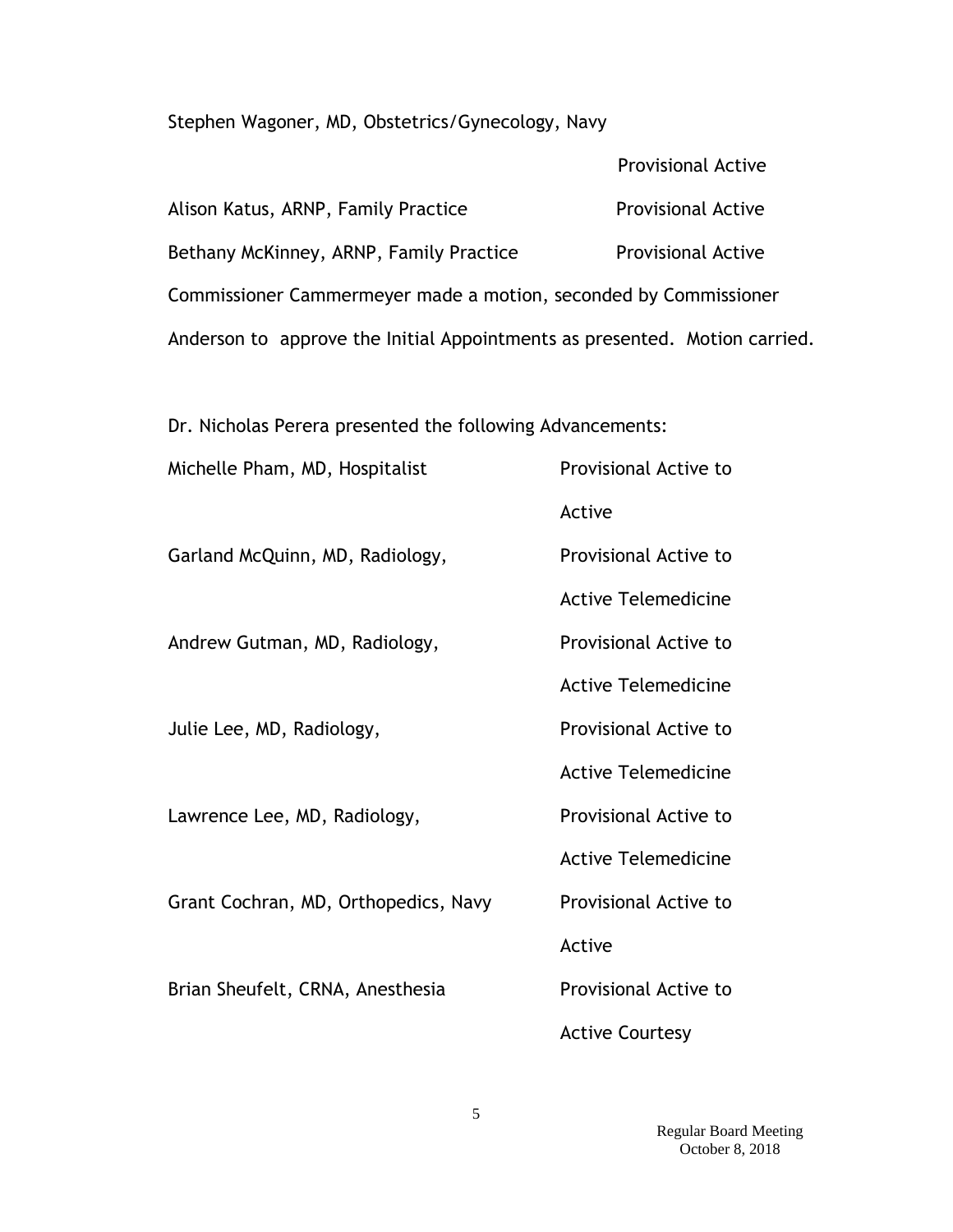Stephen Wagoner, MD, Obstetrics/Gynecology, Navy

|                                                                            | <b>Provisional Active</b> |  |
|----------------------------------------------------------------------------|---------------------------|--|
| Alison Katus, ARNP, Family Practice                                        | <b>Provisional Active</b> |  |
| Bethany McKinney, ARNP, Family Practice                                    | <b>Provisional Active</b> |  |
| Commissioner Cammermeyer made a motion, seconded by Commissioner           |                           |  |
| Anderson to approve the Initial Appointments as presented. Motion carried. |                           |  |

Dr. Nicholas Perera presented the following Advancements:

| Michelle Pham, MD, Hospitalist       | Provisional Active to      |
|--------------------------------------|----------------------------|
|                                      | Active                     |
| Garland McQuinn, MD, Radiology,      | Provisional Active to      |
|                                      | <b>Active Telemedicine</b> |
| Andrew Gutman, MD, Radiology,        | Provisional Active to      |
|                                      | <b>Active Telemedicine</b> |
| Julie Lee, MD, Radiology,            | Provisional Active to      |
|                                      | <b>Active Telemedicine</b> |
| Lawrence Lee, MD, Radiology,         | Provisional Active to      |
|                                      | <b>Active Telemedicine</b> |
| Grant Cochran, MD, Orthopedics, Navy | Provisional Active to      |
|                                      | Active                     |
| Brian Sheufelt, CRNA, Anesthesia     | Provisional Active to      |
|                                      | <b>Active Courtesy</b>     |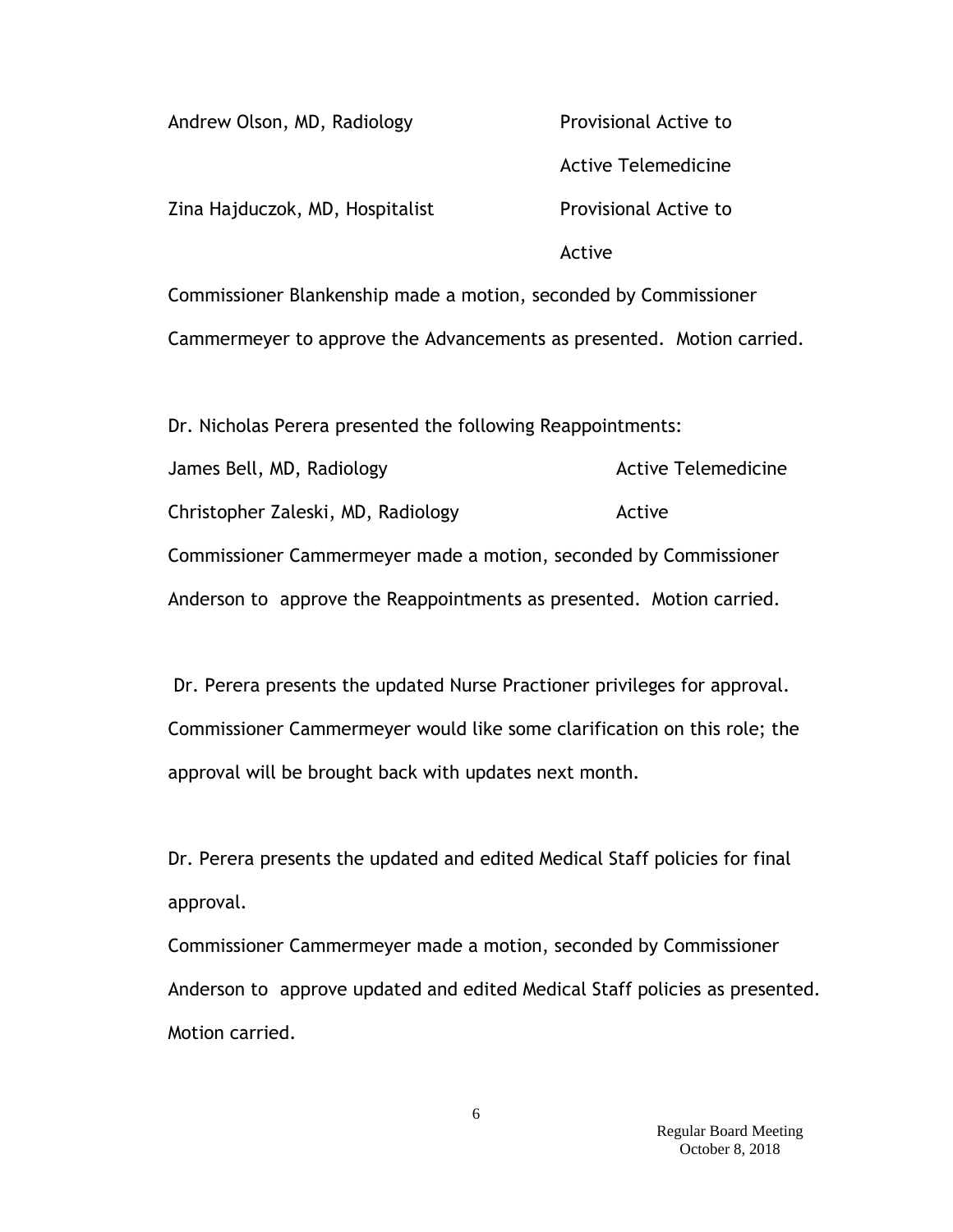| Andrew Olson, MD, Radiology                                      | Provisional Active to      |
|------------------------------------------------------------------|----------------------------|
|                                                                  | <b>Active Telemedicine</b> |
| Zina Hajduczok, MD, Hospitalist                                  | Provisional Active to      |
|                                                                  | Active                     |
| Commissioner Blankenship made a motion, seconded by Commissioner |                            |

Cammermeyer to approve the Advancements as presented. Motion carried.

Dr. Nicholas Perera presented the following Reappointments: James Bell, MD, Radiology and Active Telemedicine Christopher Zaleski, MD, Radiology Active Commissioner Cammermeyer made a motion, seconded by Commissioner Anderson to approve the Reappointments as presented. Motion carried.

Dr. Perera presents the updated Nurse Practioner privileges for approval. Commissioner Cammermeyer would like some clarification on this role; the approval will be brought back with updates next month.

Dr. Perera presents the updated and edited Medical Staff policies for final approval.

Commissioner Cammermeyer made a motion, seconded by Commissioner Anderson to approve updated and edited Medical Staff policies as presented. Motion carried.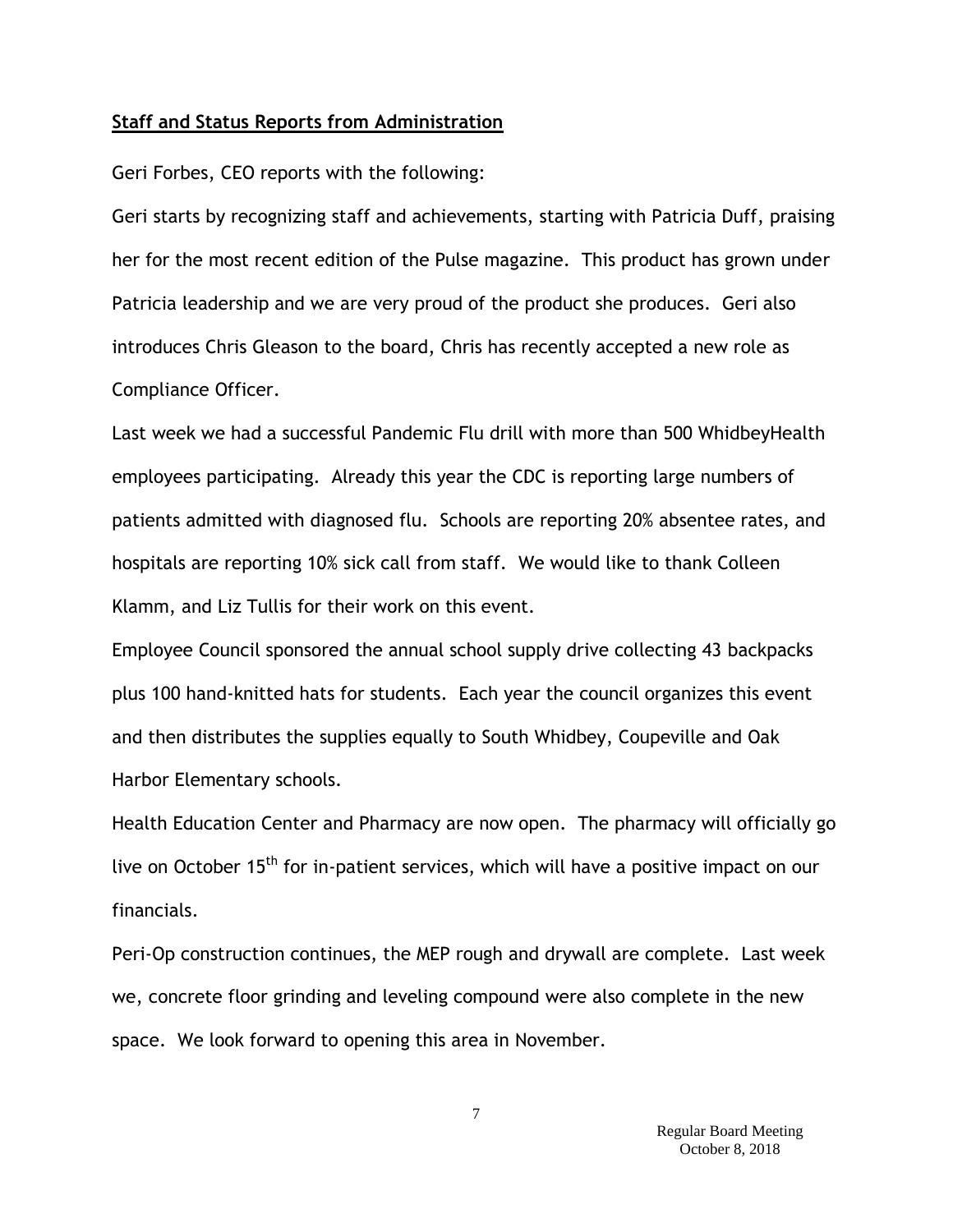#### **Staff and Status Reports from Administration**

Geri Forbes, CEO reports with the following:

Geri starts by recognizing staff and achievements, starting with Patricia Duff, praising her for the most recent edition of the Pulse magazine. This product has grown under Patricia leadership and we are very proud of the product she produces. Geri also introduces Chris Gleason to the board, Chris has recently accepted a new role as Compliance Officer.

Last week we had a successful Pandemic Flu drill with more than 500 WhidbeyHealth employees participating. Already this year the CDC is reporting large numbers of patients admitted with diagnosed flu. Schools are reporting 20% absentee rates, and hospitals are reporting 10% sick call from staff. We would like to thank Colleen Klamm, and Liz Tullis for their work on this event.

Employee Council sponsored the annual school supply drive collecting 43 backpacks plus 100 hand-knitted hats for students. Each year the council organizes this event and then distributes the supplies equally to South Whidbey, Coupeville and Oak Harbor Elementary schools.

Health Education Center and Pharmacy are now open. The pharmacy will officially go live on October 15<sup>th</sup> for in-patient services, which will have a positive impact on our financials.

Peri-Op construction continues, the MEP rough and drywall are complete. Last week we, concrete floor grinding and leveling compound were also complete in the new space. We look forward to opening this area in November.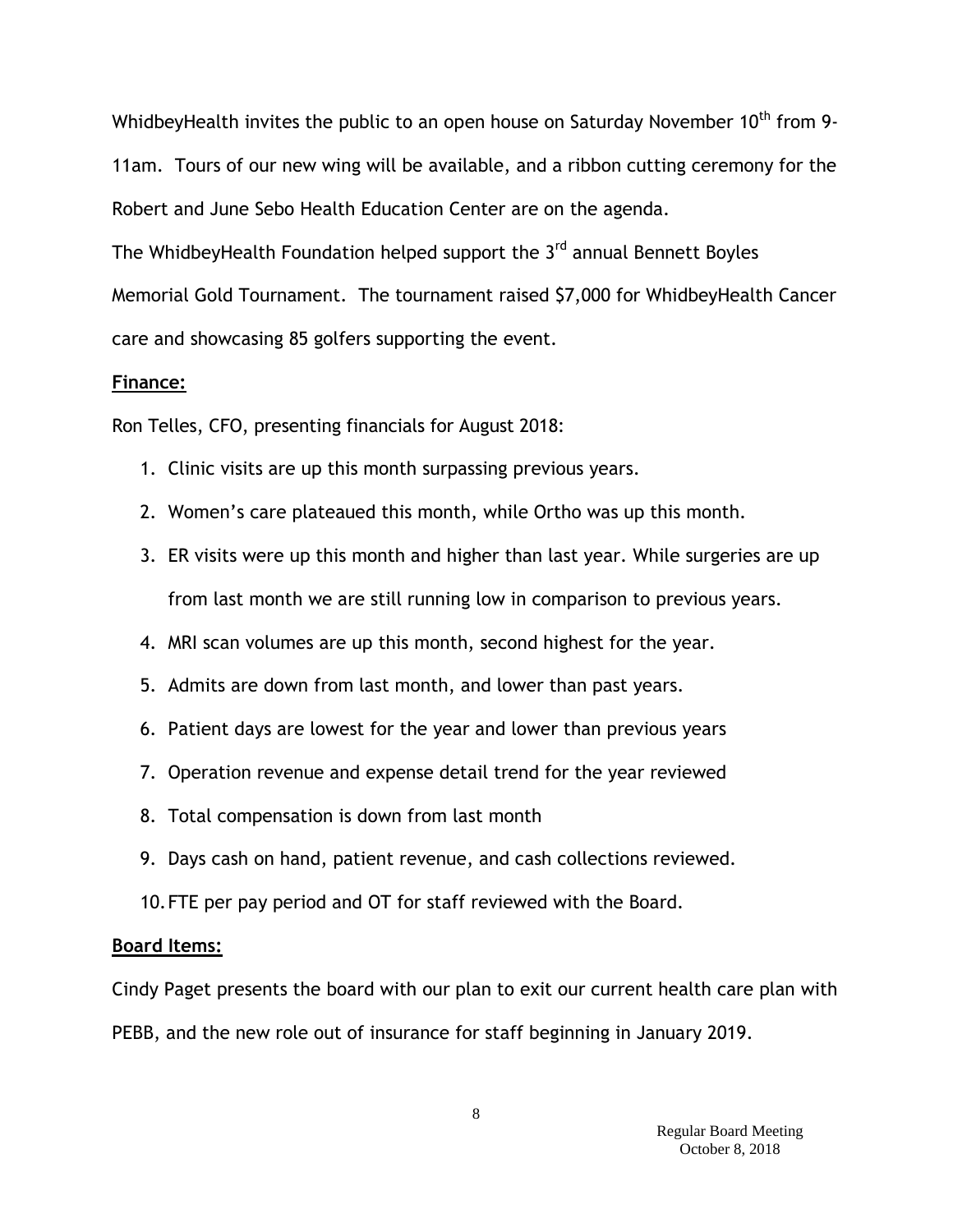WhidbeyHealth invites the public to an open house on Saturday November 10<sup>th</sup> from 9-11am. Tours of our new wing will be available, and a ribbon cutting ceremony for the Robert and June Sebo Health Education Center are on the agenda.

The WhidbeyHealth Foundation helped support the 3<sup>rd</sup> annual Bennett Boyles Memorial Gold Tournament. The tournament raised \$7,000 for WhidbeyHealth Cancer care and showcasing 85 golfers supporting the event.

### **Finance:**

Ron Telles, CFO, presenting financials for August 2018:

- 1. Clinic visits are up this month surpassing previous years.
- 2. Women's care plateaued this month, while Ortho was up this month.
- 3. ER visits were up this month and higher than last year. While surgeries are up from last month we are still running low in comparison to previous years.
- 4. MRI scan volumes are up this month, second highest for the year.
- 5. Admits are down from last month, and lower than past years.
- 6. Patient days are lowest for the year and lower than previous years
- 7. Operation revenue and expense detail trend for the year reviewed
- 8. Total compensation is down from last month
- 9. Days cash on hand, patient revenue, and cash collections reviewed.
- 10.FTE per pay period and OT for staff reviewed with the Board.

### **Board Items:**

Cindy Paget presents the board with our plan to exit our current health care plan with PEBB, and the new role out of insurance for staff beginning in January 2019.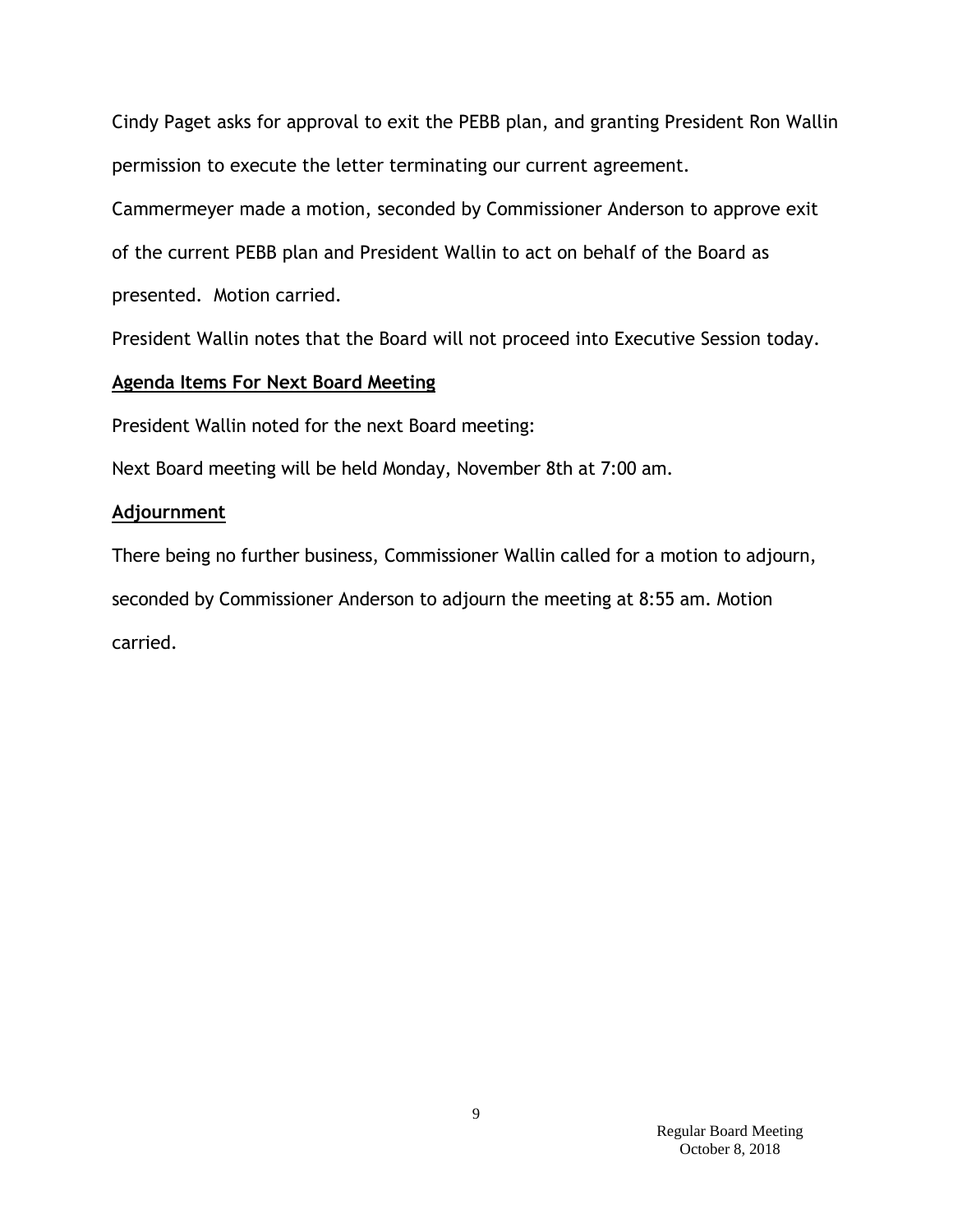Cindy Paget asks for approval to exit the PEBB plan, and granting President Ron Wallin permission to execute the letter terminating our current agreement.

Cammermeyer made a motion, seconded by Commissioner Anderson to approve exit of the current PEBB plan and President Wallin to act on behalf of the Board as presented. Motion carried.

President Wallin notes that the Board will not proceed into Executive Session today.

## **Agenda Items For Next Board Meeting**

President Wallin noted for the next Board meeting:

Next Board meeting will be held Monday, November 8th at 7:00 am.

## **Adjournment**

There being no further business, Commissioner Wallin called for a motion to adjourn, seconded by Commissioner Anderson to adjourn the meeting at 8:55 am. Motion carried.